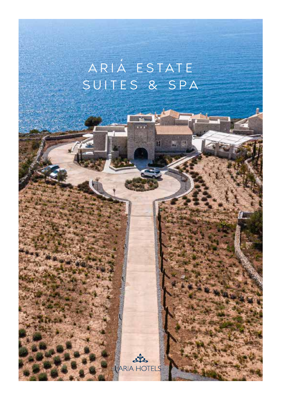# ARIA ESTATE 'SUITES & SPA

 $\sim$ ARIA HOTELS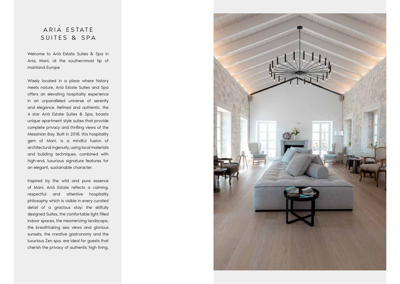## ARIA ESTATE 'SUITES & SPA

Welcome to Ariá Estate Suites & Spa in Aria, Mani, at the southernmost tip of mainland Europe

Wisely located in a place where history meets nature, Ariá Estate Suites and Spa offers an elevating hospitality experience in an unparalleled universe of serenity and elegance. Refined and authentic, the 4 star Ariá Estate Suites & Spa, boasts unique apartment style suites that provide complete privacy and thrilling views of the Messinian Bay. Built in 2018, this hospitality gem of Mani, is a mindful fusion of architectural ingenuity, using local materials and building techniques, combined with high-end, luxurious signature features for an elegant, sustainable character.

Inspired by the wild and pure essence of Mani, Ariá Estate reflects a calming, respectful and attentive hospitality philosophy which is visible in every curated detail of a gracious stay: the skilfully designed Suites, the comfortable light filled indoor spaces, the mesmerizing landscape, the breathtaking sea views and glorious sunsets, the creative gastronomy and the luxurious Zen spa, are ideal for guests that cherish the privacy of authentic high living.

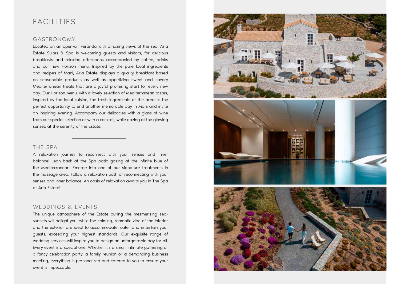## FACILITIES

#### GASTRONOMY

Located on an open-air veranda with amazing views of the sea, Ariá Estate Suites & Spa is welcoming guests and visitors, for delicious breakfasts and relaxing afternoons accompanied by coffee, drinks and our new Horizon menu. Inspired by the pure local ingredients and recipes of Mani, Ariá Estate displays a quality breakfast based on seasonable products as well as appetizing sweet and savory Mediterranean treats that are a joyful promising start for every new day. Our Horizon Menu, with a lovely selection of Mediterranean tastes, inspired by the local cuisine, the fresh ingredients of the area, is the perfect opportunity to end another memorable day in Mani and invite an inspiring evening. Accompany our delicacies with a glass of wine from our special selection or with a cocktail, while gazing at the glowing sunset, at the serenity of the Estate.

#### THE SPA

A relaxation journey to reconnect with your senses and inner balance! Lean back at the Spa patio gazing at the infinite blue of the Mediterranean. Emerge into one of our signature treatments in the massage area. Follow a relaxation path of reconnecting with your senses and inner balance. An oasis of relaxation awaits you in The Spa at Ariá Estate!

#### WEDDINGS & EVENTS

The unique atmosphere of the Estate during the mesmerizing seasunsets will delight you, while the calming, romantic vibe of the interior and the exterior are ideal to accommodate, cater and entertain your guests, exceeding your highest standards. Our exquisite range of wedding services will inspire you to design an unforgettable day for all. Every event is a special one; Whether it's a small, intimate gathering or a fancy celebration party, a family reunion or a demanding business meeting, everything is personalized and catered to you to ensure your event is impeccable.

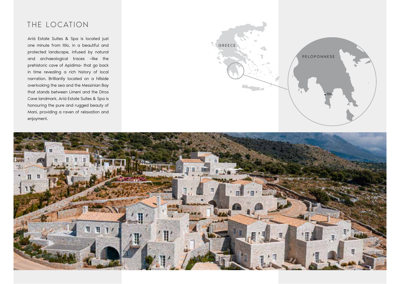# THE LOCATION

Ariá Estate Suites & Spa is located just one minute from Itilo, in a beautiful and protected landscape, infused by natural and archaeological traces –like the prehistoric cave of Apidima- that go back in time revealing a rich history of local narration. Brilliantly located on a hillside overlooking the sea and the Messinian Bay that stands between Limeni and the Diros Cave landmark, Ariá Estate Suites & Spa is honouring the pure and rugged beauty of Mani, providing a raven of relaxation and enjoyment.



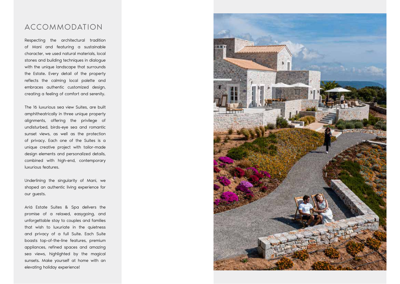### ACCOMMODATION

Respecting the architectural tradition of Mani and featuring a sustainable character, we used natural materials, local stones and building techniques in dialogue with the unique landscape that surrounds the Estate. Every detail of the property reflects the calming local palette and embraces authentic customized design, creating a feeling of comfort and serenity.

The 16 luxurious sea view Suites, are built amphitheatrically in three unique property alignments, offering the privilege of undisturbed, birds-eye sea and romantic sunset views, as well as the protection of privacy. Each one of the Suites is a unique creative project with tailor-made design elements and personalized details, combined with high-end, contemporary luxurious features.

Underlining the singularity of Mani, we shaped an authentic living experience for our guests.

Ariá Estate Suites & Spa delivers the promise of a relaxed, easygoing, and unforgettable stay to couples and families that wish to luxuriate in the quietness and privacy of a full Suite. Each Suite boasts top-of-the-line features, premium appliances, refined spaces and amazing sea views, highlighted by the magical sunsets. Make yourself at home with an elevating holiday experience!

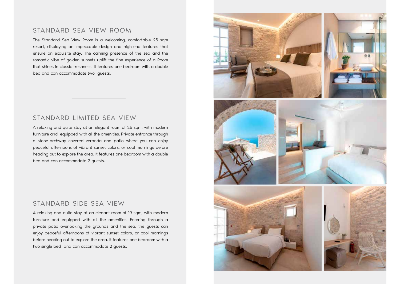#### STANDARD SEA VIEW ROOM

The Standard Sea View Room is a welcoming, comfortable 25 sqm resort, displaying an impeccable design and high-end features that ensure an exquisite stay. The calming presence of the sea and the romantic vibe of golden sunsets uplift the fine experience of a Room that shines in classic freshness. It features one bedroom with a double bed and can accommodate two guests.

#### STANDARD LIMITED SEA VIEW

A relaxing and quite stay at an elegant room of 25 sqm, with modern furniture and equipped with all the amenities. Private entrance through a stone-archway covered veranda and patio where you can enjoy peaceful afternoons of vibrant sunset colors, or cool mornings before heading out to explore the area. It features one bedroom with a double bed and can accommodate 2 guests.

#### STANDARD SIDE SEA VIEW

A relaxing and quite stay at an elegant room of 19 sqm, with modern furniture and equipped with all the amenities. Entering through a private patio overlooking the grounds and the sea, the guests can enjoy peaceful afternoons of vibrant sunset colors, or cool mornings before heading out to explore the area. It features one bedroom with a two single bed and can accommodate 2 guests.

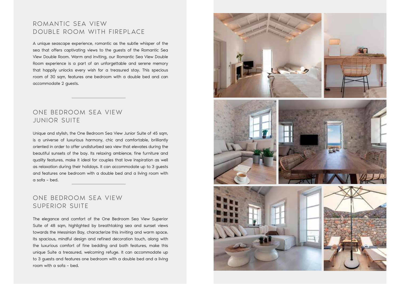#### ROMANTIC SEA VIEW DOUBLE ROOM WITH FIREPLACE

A unique seascape experience, romantic as the subtle whisper of the sea that offers captivating views to the guests of the Romantic Sea View Double Room. Warm and inviting, our Romantic Sea View Double Room experience is a part of an unforgettable and serene memory that happily unlocks every wish for a treasured stay. This specious room of 30 sam, features one bedroom with a double bed and can accommodate 2 guests.

#### ONE BEDROOM SEA VIEW JUNIOR SUITE

Unique and stylish, the One Bedroom Sea View Junior Suite of 45 sqm, is a universe of luxurious harmony, chic and comfortable, brilliantly oriented in order to offer undisturbed sea view that elevates during the beautiful sunsets of the bay. Its relaxing ambience, fine furniture and quality features, make it ideal for couples that love inspiration as well as relaxation during their holidays. It can accommodate up to 3 guests and features one bedroom with a double bed and a living room with a sofa – bed.

### ONE BEDROOM SEA VIEW SUPERIOR SUITE

The elegance and comfort of the One Bedroom Sea View Superior Suite of 48 sqm, highlighted by breathtaking sea and sunset views towards the Messinian Bay, characterize this inviting and warm space. Its spacious, mindful design and refined decoration touch, along with the luxurious comfort of fine bedding and bath features, make this unique Suite a treasured, welcoming refuge. It can accommodate up to 3 guests and features one bedroom with a double bed and a living room with a sofa – bed.

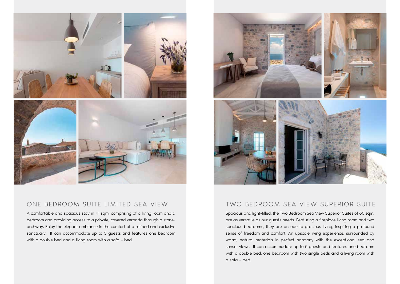

#### ONE BEDROOM SUITE LIMITED SEA VIEW TWO BEDROOM SEA VIEW SUPERIOR SUITE

A comfortable and spacious stay in 41 sqm, comprising of a living room and a bedroom and providing access to a private, covered veranda through a stonearchway. Enjoy the elegant ambiance in the comfort of a refined and exclusive sanctuary. It can accommodate up to 3 guests and features one bedroom with a double bed and a living room with a sofa – bed.



Spacious and light-filled, the Two Bedroom Sea View Superior Suites of 60 sqm, are as versatile as our guests needs. Featuring a fireplace living room and two spacious bedrooms, they are an ode to gracious living, inspiring a profound sense of freedom and comfort. An upscale living experience, surrounded by warm, natural materials in perfect harmony with the exceptional sea and sunset views. It can accommodate up to 5 guests and features one bedroom with a double bed, one bedroom with two single beds and a living room with a sofa – bed.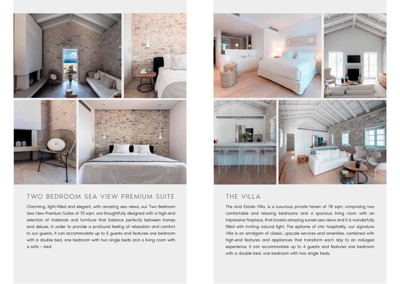

#### TWO BEDROOM SEA VIEW PREMIUM SUITE THE THE VILLA

Charming, light-filled and elegant, with amazing sea views, our Two Bedroom Sea View Premium Suites of 70 sqm, are thoughtfully designed with a high-end selection of materials and furniture that balance perfectly between homey and deluxe, in order to provide a profound feeling of relaxation and comfort to our guests. It can accommodate up to 5 guests and features one bedroom with a double bed, one bedroom with two single beds and a living room with a sofa – bed.



The Ariá Estate Villa, is a luxurious private haven of 78 sqm, comprising two comfortable and relaxing bedrooms and a spacious living room with an impressive fireplace, that boasts amazing sunset sea views and it is wonderfully filled with inviting natural light. The epitome of chic hospitality, our signature Villa is an amalgam of classic, upscale services and amenities, combined with high-end features and appliances that transform each day to an indulged experience. It can accommodate up to 4 guests and features one bedroom with a double bed, one bedroom with two single beds.